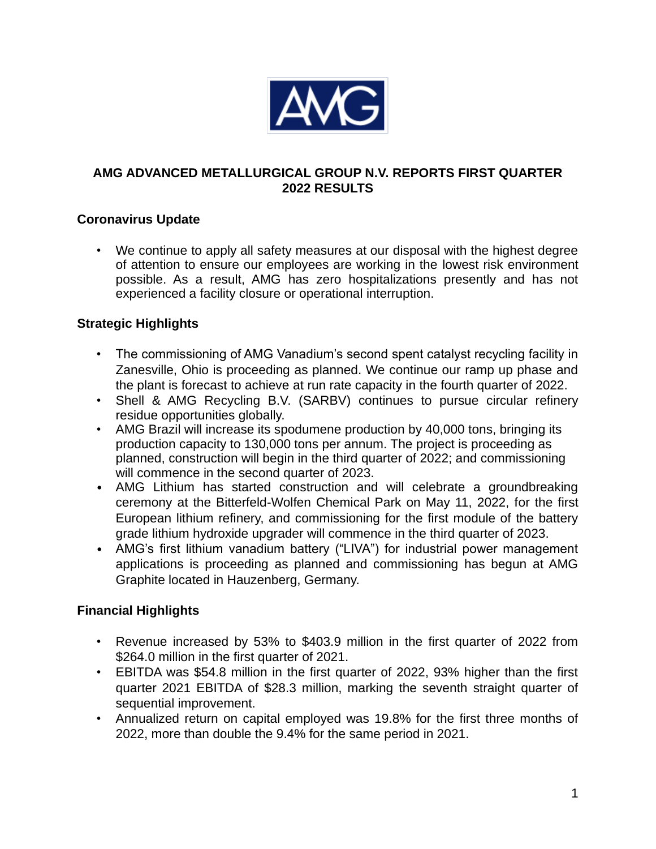

## **AMG ADVANCED METALLURGICAL GROUP N.V. REPORTS FIRST QUARTER 2022 RESULTS**

# **Coronavirus Update**

• We continue to apply all safety measures at our disposal with the highest degree of attention to ensure our employees are working in the lowest risk environment possible. As a result, AMG has zero hospitalizations presently and has not experienced a facility closure or operational interruption.

# **Strategic Highlights**

- The commissioning of AMG Vanadium's second spent catalyst recycling facility in Zanesville, Ohio is proceeding as planned. We continue our ramp up phase and the plant is forecast to achieve at run rate capacity in the fourth quarter of 2022.
- Shell & AMG Recycling B.V. (SARBV) continues to pursue circular refinery residue opportunities globally.
- AMG Brazil will increase its spodumene production by 40,000 tons, bringing its production capacity to 130,000 tons per annum. The project is proceeding as planned, construction will begin in the third quarter of 2022; and commissioning will commence in the second quarter of 2023.
- AMG Lithium has started construction and will celebrate a groundbreaking ceremony at the Bitterfeld-Wolfen Chemical Park on May 11, 2022, for the first European lithium refinery, and commissioning for the first module of the battery grade lithium hydroxide upgrader will commence in the third quarter of 2023.
- AMG's first lithium vanadium battery ("LIVA") for industrial power management applications is proceeding as planned and commissioning has begun at AMG Graphite located in Hauzenberg, Germany.

# **Financial Highlights**

- Revenue increased by 53% to \$403.9 million in the first quarter of 2022 from \$264.0 million in the first quarter of 2021.
- EBITDA was \$54.8 million in the first quarter of 2022, 93% higher than the first quarter 2021 EBITDA of \$28.3 million, marking the seventh straight quarter of sequential improvement.
- Annualized return on capital employed was 19.8% for the first three months of 2022, more than double the 9.4% for the same period in 2021.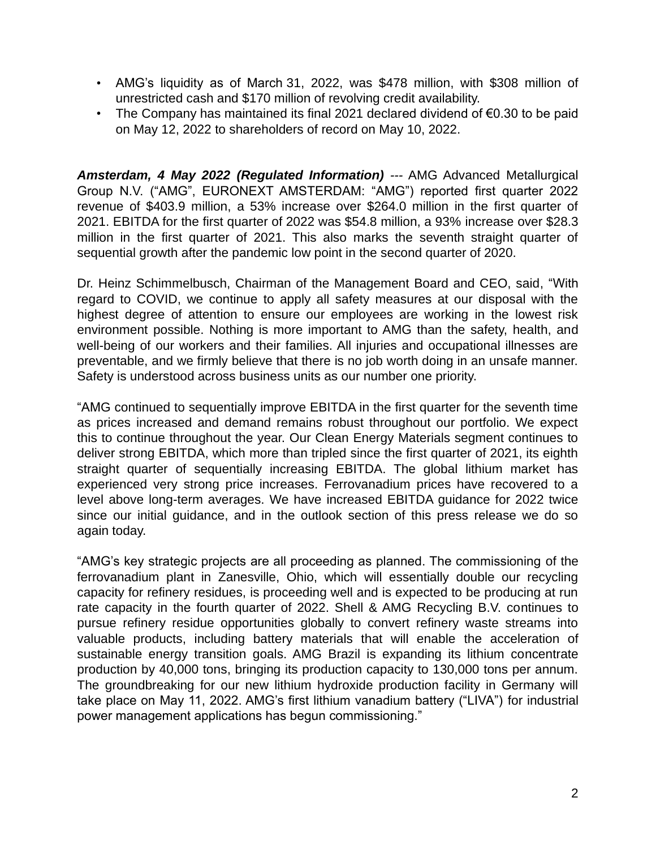- AMG's liquidity as of March 31, 2022, was \$478 million, with \$308 million of unrestricted cash and \$170 million of revolving credit availability.
- The Company has maintained its final 2021 declared dividend of €0.30 to be paid on May 12, 2022 to shareholders of record on May 10, 2022.

*Amsterdam, 4 May 2022 (Regulated Information) ---* AMG Advanced Metallurgical Group N.V. ("AMG", EURONEXT AMSTERDAM: "AMG") reported first quarter 2022 revenue of \$403.9 million, a 53% increase over \$264.0 million in the first quarter of 2021. EBITDA for the first quarter of 2022 was \$54.8 million, a 93% increase over \$28.3 million in the first quarter of 2021. This also marks the seventh straight quarter of sequential growth after the pandemic low point in the second quarter of 2020.

Dr. Heinz Schimmelbusch, Chairman of the Management Board and CEO, said, "With regard to COVID, we continue to apply all safety measures at our disposal with the highest degree of attention to ensure our employees are working in the lowest risk environment possible. Nothing is more important to AMG than the safety, health, and well-being of our workers and their families. All injuries and occupational illnesses are preventable, and we firmly believe that there is no job worth doing in an unsafe manner. Safety is understood across business units as our number one priority.

"AMG continued to sequentially improve EBITDA in the first quarter for the seventh time as prices increased and demand remains robust throughout our portfolio. We expect this to continue throughout the year. Our Clean Energy Materials segment continues to deliver strong EBITDA, which more than tripled since the first quarter of 2021, its eighth straight quarter of sequentially increasing EBITDA. The global lithium market has experienced very strong price increases. Ferrovanadium prices have recovered to a level above long-term averages. We have increased EBITDA guidance for 2022 twice since our initial guidance, and in the outlook section of this press release we do so again today.

"AMG's key strategic projects are all proceeding as planned. The commissioning of the ferrovanadium plant in Zanesville, Ohio, which will essentially double our recycling capacity for refinery residues, is proceeding well and is expected to be producing at run rate capacity in the fourth quarter of 2022. Shell & AMG Recycling B.V. continues to pursue refinery residue opportunities globally to convert refinery waste streams into valuable products, including battery materials that will enable the acceleration of sustainable energy transition goals. AMG Brazil is expanding its lithium concentrate production by 40,000 tons, bringing its production capacity to 130,000 tons per annum. The groundbreaking for our new lithium hydroxide production facility in Germany will take place on May 11, 2022. AMG's first lithium vanadium battery ("LIVA") for industrial power management applications has begun commissioning."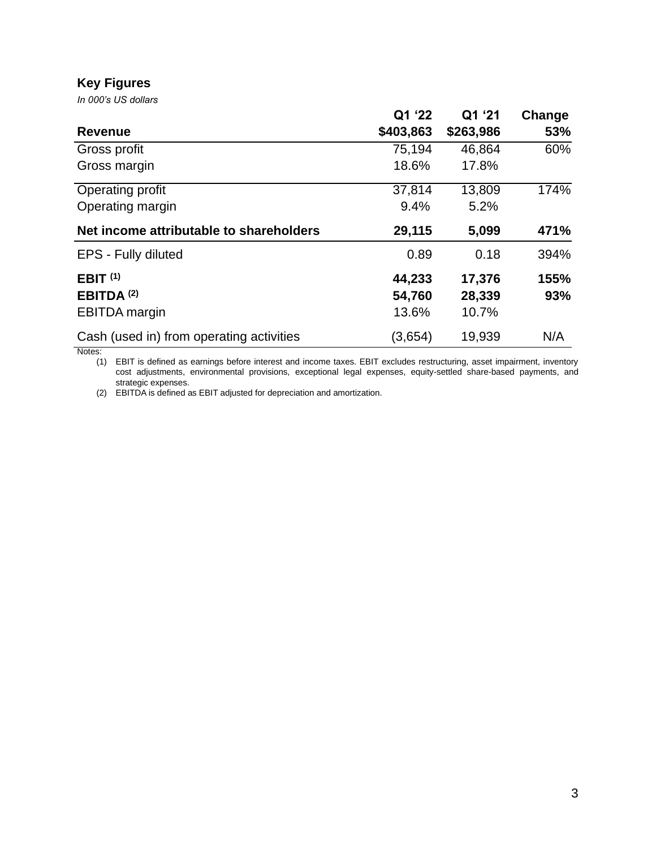#### **Key Figures**

*In 000's US dollars*

|                                          | Q1 '22    | Q1 '21    | Change |
|------------------------------------------|-----------|-----------|--------|
| <b>Revenue</b>                           | \$403,863 | \$263,986 | 53%    |
| Gross profit                             | 75,194    | 46,864    | 60%    |
| Gross margin                             | 18.6%     | 17.8%     |        |
| Operating profit                         | 37,814    | 13,809    | 174%   |
| Operating margin                         | 9.4%      | 5.2%      |        |
| Net income attributable to shareholders  | 29,115    | 5,099     | 471%   |
| EPS - Fully diluted                      | 0.89      | 0.18      | 394%   |
| EBIT <sup>(1)</sup>                      | 44,233    | 17,376    | 155%   |
| EBITDA <sup>(2)</sup>                    | 54,760    | 28,339    | 93%    |
| <b>EBITDA</b> margin                     | 13.6%     | 10.7%     |        |
| Cash (used in) from operating activities | (3,654)   | 19,939    | N/A    |

Notes:

(1) EBIT is defined as earnings before interest and income taxes. EBIT excludes restructuring, asset impairment, inventory cost adjustments, environmental provisions, exceptional legal expenses, equity-settled share-based payments, and strategic expenses.

(2) EBITDA is defined as EBIT adjusted for depreciation and amortization.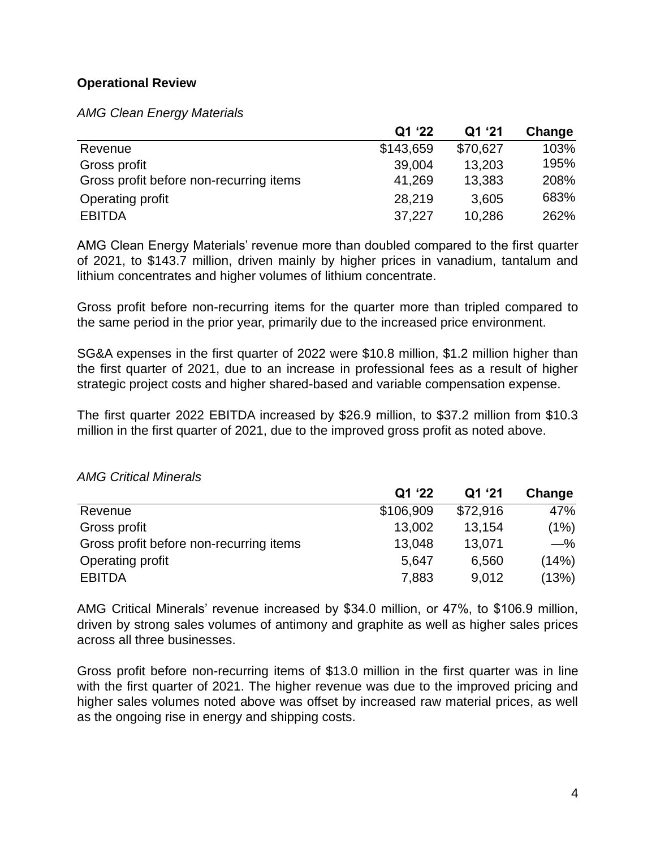## **Operational Review**

*AMG Clean Energy Materials*

|                                         | Q1 '22    | Q1 '21   | Change |
|-----------------------------------------|-----------|----------|--------|
| Revenue                                 | \$143,659 | \$70,627 | 103%   |
| Gross profit                            | 39,004    | 13,203   | 195%   |
| Gross profit before non-recurring items | 41,269    | 13,383   | 208%   |
| Operating profit                        | 28,219    | 3,605    | 683%   |
| <b>EBITDA</b>                           | 37,227    | 10,286   | 262%   |

AMG Clean Energy Materials' revenue more than doubled compared to the first quarter of 2021, to \$143.7 million, driven mainly by higher prices in vanadium, tantalum and lithium concentrates and higher volumes of lithium concentrate.

Gross profit before non-recurring items for the quarter more than tripled compared to the same period in the prior year, primarily due to the increased price environment.

SG&A expenses in the first quarter of 2022 were \$10.8 million, \$1.2 million higher than the first quarter of 2021, due to an increase in professional fees as a result of higher strategic project costs and higher shared-based and variable compensation expense.

The first quarter 2022 EBITDA increased by \$26.9 million, to \$37.2 million from \$10.3 million in the first quarter of 2021, due to the improved gross profit as noted above.

|                                         | Q1 '22    | Q1 '21   | Change |
|-----------------------------------------|-----------|----------|--------|
| Revenue                                 | \$106,909 | \$72,916 | 47%    |
| Gross profit                            | 13,002    | 13,154   | (1%)   |
| Gross profit before non-recurring items | 13,048    | 13,071   | $-\%$  |
| Operating profit                        | 5,647     | 6.560    | (14%)  |
| <b>EBITDA</b>                           | 7,883     | 9,012    | (13%)  |

#### *AMG Critical Minerals*

AMG Critical Minerals' revenue increased by \$34.0 million, or 47%, to \$106.9 million, driven by strong sales volumes of antimony and graphite as well as higher sales prices across all three businesses.

Gross profit before non-recurring items of \$13.0 million in the first quarter was in line with the first quarter of 2021. The higher revenue was due to the improved pricing and higher sales volumes noted above was offset by increased raw material prices, as well as the ongoing rise in energy and shipping costs.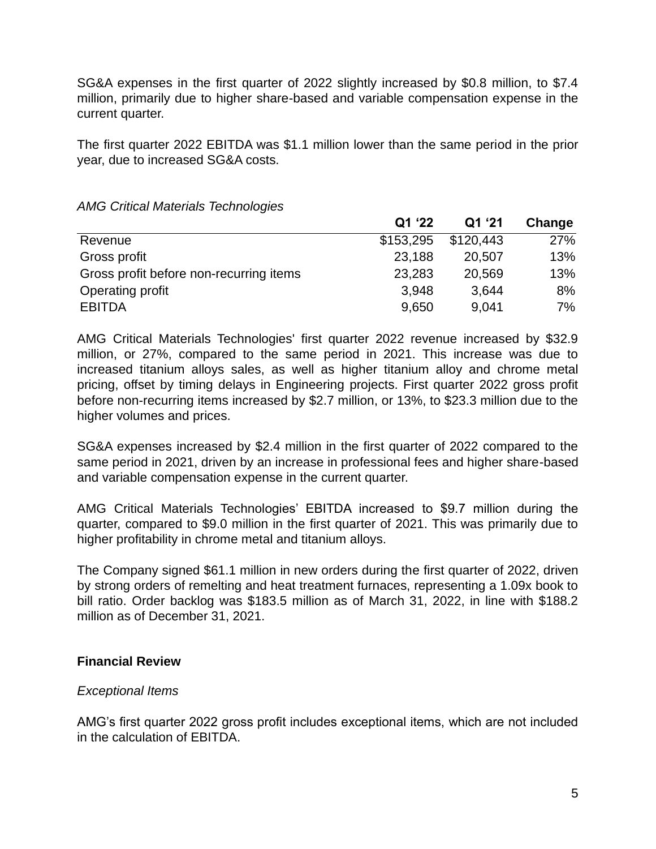SG&A expenses in the first quarter of 2022 slightly increased by \$0.8 million, to \$7.4 million, primarily due to higher share-based and variable compensation expense in the current quarter.

The first quarter 2022 EBITDA was \$1.1 million lower than the same period in the prior year, due to increased SG&A costs.

|                                         | Q1 '22    | Q1 '21    | Change |
|-----------------------------------------|-----------|-----------|--------|
| Revenue                                 | \$153,295 | \$120,443 | 27%    |
| Gross profit                            | 23,188    | 20,507    | 13%    |
| Gross profit before non-recurring items | 23,283    | 20,569    | 13%    |
| Operating profit                        | 3,948     | 3,644     | 8%     |
| <b>EBITDA</b>                           | 9,650     | 9,041     | 7%     |
|                                         |           |           |        |

#### *AMG Critical Materials Technologies*

AMG Critical Materials Technologies' first quarter 2022 revenue increased by \$32.9 million, or 27%, compared to the same period in 2021. This increase was due to increased titanium alloys sales, as well as higher titanium alloy and chrome metal pricing, offset by timing delays in Engineering projects. First quarter 2022 gross profit before non-recurring items increased by \$2.7 million, or 13%, to \$23.3 million due to the higher volumes and prices.

SG&A expenses increased by \$2.4 million in the first quarter of 2022 compared to the same period in 2021, driven by an increase in professional fees and higher share-based and variable compensation expense in the current quarter.

AMG Critical Materials Technologies' EBITDA increased to \$9.7 million during the quarter, compared to \$9.0 million in the first quarter of 2021. This was primarily due to higher profitability in chrome metal and titanium alloys.

The Company signed \$61.1 million in new orders during the first quarter of 2022, driven by strong orders of remelting and heat treatment furnaces, representing a 1.09x book to bill ratio. Order backlog was \$183.5 million as of March 31, 2022, in line with \$188.2 million as of December 31, 2021.

#### **Financial Review**

#### *Exceptional Items*

AMG's first quarter 2022 gross profit includes exceptional items, which are not included in the calculation of EBITDA.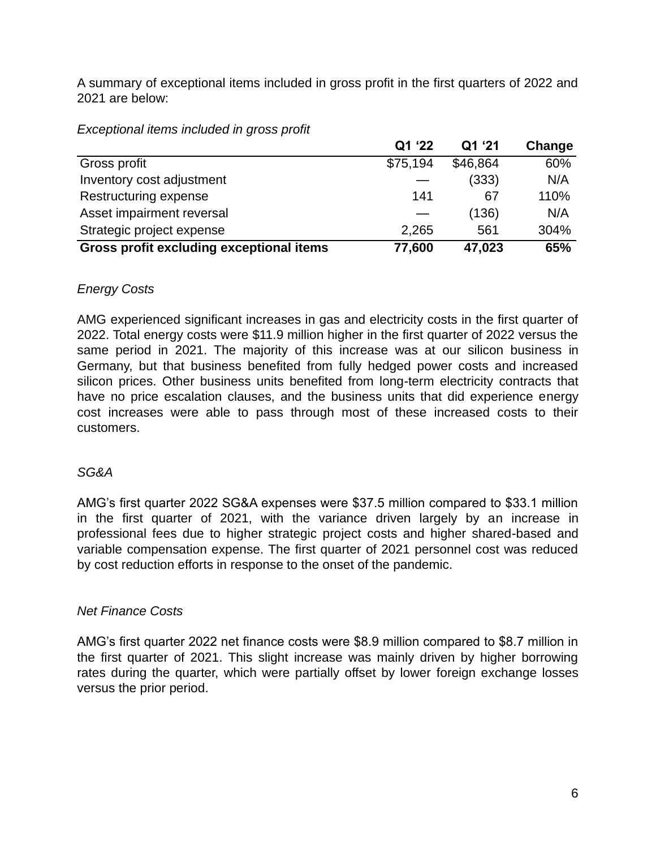A summary of exceptional items included in gross profit in the first quarters of 2022 and 2021 are below:

| Exceptional items included in gross profit |  |
|--------------------------------------------|--|
|--------------------------------------------|--|

|                                          | Q1 '22   | Q1 '21   | Change |
|------------------------------------------|----------|----------|--------|
| Gross profit                             | \$75,194 | \$46,864 | 60%    |
| Inventory cost adjustment                |          | (333)    | N/A    |
| Restructuring expense                    | 141      | 67       | 110%   |
| Asset impairment reversal                |          | (136)    | N/A    |
| Strategic project expense                | 2,265    | 561      | 304%   |
| Gross profit excluding exceptional items | 77,600   | 47,023   | 65%    |

# *Energy Costs*

AMG experienced significant increases in gas and electricity costs in the first quarter of 2022. Total energy costs were \$11.9 million higher in the first quarter of 2022 versus the same period in 2021. The majority of this increase was at our silicon business in Germany, but that business benefited from fully hedged power costs and increased silicon prices. Other business units benefited from long-term electricity contracts that have no price escalation clauses, and the business units that did experience energy cost increases were able to pass through most of these increased costs to their customers.

# *SG&A*

AMG's first quarter 2022 SG&A expenses were \$37.5 million compared to \$33.1 million in the first quarter of 2021, with the variance driven largely by an increase in professional fees due to higher strategic project costs and higher shared-based and variable compensation expense. The first quarter of 2021 personnel cost was reduced by cost reduction efforts in response to the onset of the pandemic.

# *Net Finance Costs*

AMG's first quarter 2022 net finance costs were \$8.9 million compared to \$8.7 million in the first quarter of 2021. This slight increase was mainly driven by higher borrowing rates during the quarter, which were partially offset by lower foreign exchange losses versus the prior period.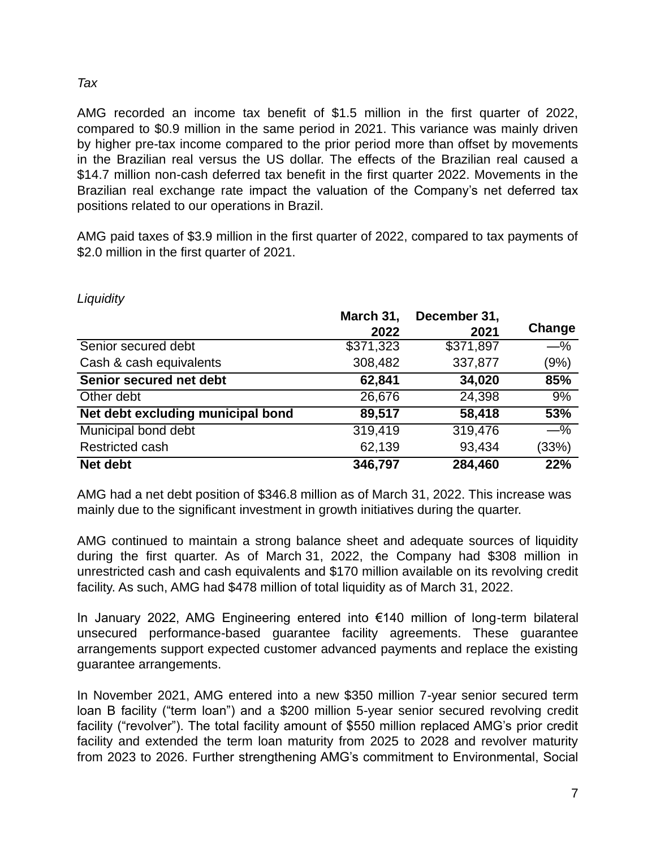#### *Tax*

AMG recorded an income tax benefit of \$1.5 million in the first quarter of 2022, compared to \$0.9 million in the same period in 2021. This variance was mainly driven by higher pre-tax income compared to the prior period more than offset by movements in the Brazilian real versus the US dollar. The effects of the Brazilian real caused a \$14.7 million non-cash deferred tax benefit in the first quarter 2022. Movements in the Brazilian real exchange rate impact the valuation of the Company's net deferred tax positions related to our operations in Brazil.

AMG paid taxes of \$3.9 million in the first quarter of 2022, compared to tax payments of \$2.0 million in the first quarter of 2021.

|                                   | March 31,<br>2022 | December 31,<br>2021 | Change |
|-----------------------------------|-------------------|----------------------|--------|
| Senior secured debt               | \$371,323         | \$371,897            | $-\%$  |
| Cash & cash equivalents           | 308,482           | 337,877              | (9%)   |
| Senior secured net debt           | 62,841            | 34,020               | 85%    |
| Other debt                        | 26,676            | 24,398               | 9%     |
| Net debt excluding municipal bond | 89,517            | 58,418               | 53%    |
| Municipal bond debt               | 319,419           | 319,476              | $-\%$  |
| Restricted cash                   | 62,139            | 93,434               | (33%)  |
| Net debt                          | 346,797           | 284,460              | 22%    |

*Liquidity*

AMG had a net debt position of \$346.8 million as of March 31, 2022. This increase was mainly due to the significant investment in growth initiatives during the quarter.

AMG continued to maintain a strong balance sheet and adequate sources of liquidity during the first quarter. As of March 31, 2022, the Company had \$308 million in unrestricted cash and cash equivalents and \$170 million available on its revolving credit facility. As such, AMG had \$478 million of total liquidity as of March 31, 2022.

In January 2022, AMG Engineering entered into €140 million of long-term bilateral unsecured performance-based guarantee facility agreements. These guarantee arrangements support expected customer advanced payments and replace the existing guarantee arrangements.

In November 2021, AMG entered into a new \$350 million 7-year senior secured term loan B facility ("term loan") and a \$200 million 5-year senior secured revolving credit facility ("revolver"). The total facility amount of \$550 million replaced AMG's prior credit facility and extended the term loan maturity from 2025 to 2028 and revolver maturity from 2023 to 2026. Further strengthening AMG's commitment to Environmental, Social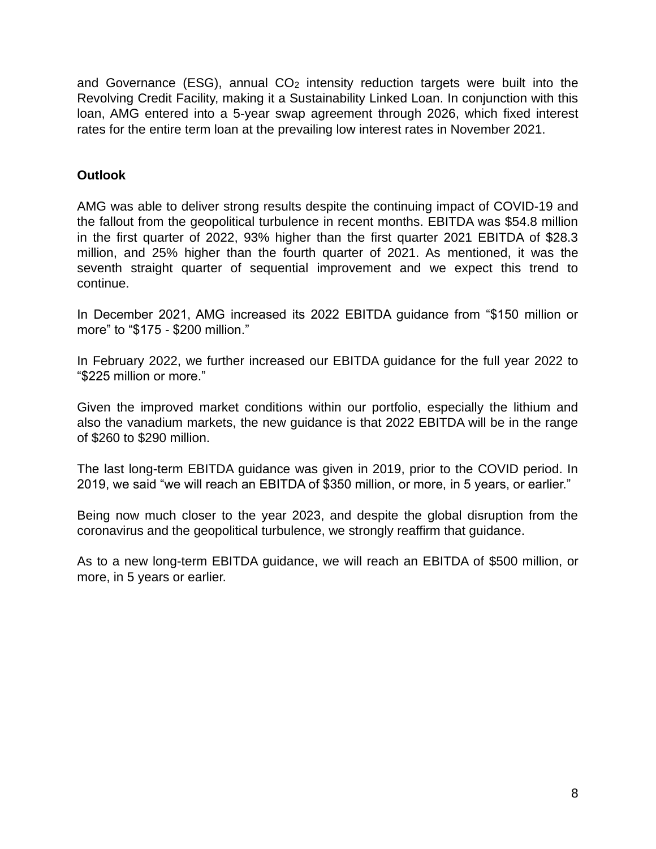and Governance (ESG), annual  $CO<sub>2</sub>$  intensity reduction targets were built into the Revolving Credit Facility, making it a Sustainability Linked Loan. In conjunction with this loan, AMG entered into a 5-year swap agreement through 2026, which fixed interest rates for the entire term loan at the prevailing low interest rates in November 2021.

# **Outlook**

AMG was able to deliver strong results despite the continuing impact of COVID-19 and the fallout from the geopolitical turbulence in recent months. EBITDA was \$54.8 million in the first quarter of 2022, 93% higher than the first quarter 2021 EBITDA of \$28.3 million, and 25% higher than the fourth quarter of 2021. As mentioned, it was the seventh straight quarter of sequential improvement and we expect this trend to continue.

In December 2021, AMG increased its 2022 EBITDA guidance from "\$150 million or more" to "\$175 - \$200 million."

In February 2022, we further increased our EBITDA guidance for the full year 2022 to "\$225 million or more."

Given the improved market conditions within our portfolio, especially the lithium and also the vanadium markets, the new guidance is that 2022 EBITDA will be in the range of \$260 to \$290 million.

The last long-term EBITDA guidance was given in 2019, prior to the COVID period. In 2019, we said "we will reach an EBITDA of \$350 million, or more, in 5 years, or earlier."

Being now much closer to the year 2023, and despite the global disruption from the coronavirus and the geopolitical turbulence, we strongly reaffirm that guidance.

As to a new long-term EBITDA guidance, we will reach an EBITDA of \$500 million, or more, in 5 years or earlier.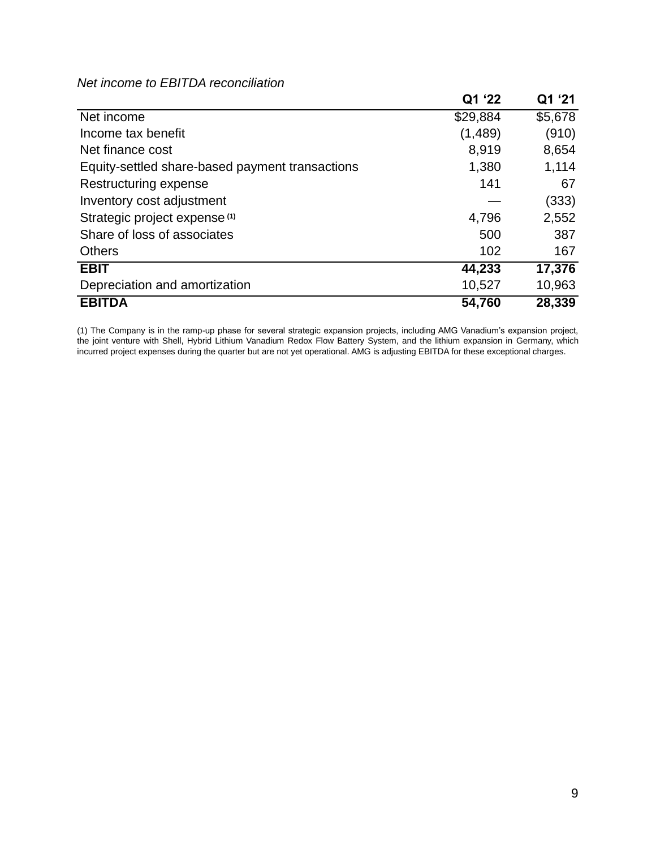## *Net income to EBITDA reconciliation*

|                                                 | Q1 '22   | Q1 '21  |
|-------------------------------------------------|----------|---------|
| Net income                                      | \$29,884 | \$5,678 |
| Income tax benefit                              | (1,489)  | (910)   |
| Net finance cost                                | 8,919    | 8,654   |
| Equity-settled share-based payment transactions | 1,380    | 1,114   |
| Restructuring expense                           | 141      | 67      |
| Inventory cost adjustment                       |          | (333)   |
| Strategic project expense <sup>(1)</sup>        | 4,796    | 2,552   |
| Share of loss of associates                     | 500      | 387     |
| <b>Others</b>                                   | 102      | 167     |
| <b>EBIT</b>                                     | 44,233   | 17,376  |
| Depreciation and amortization                   | 10,527   | 10,963  |
| <b>EBITDA</b>                                   | 54,760   | 28,339  |

(1) The Company is in the ramp-up phase for several strategic expansion projects, including AMG Vanadium's expansion project, the joint venture with Shell, Hybrid Lithium Vanadium Redox Flow Battery System, and the lithium expansion in Germany, which incurred project expenses during the quarter but are not yet operational. AMG is adjusting EBITDA for these exceptional charges.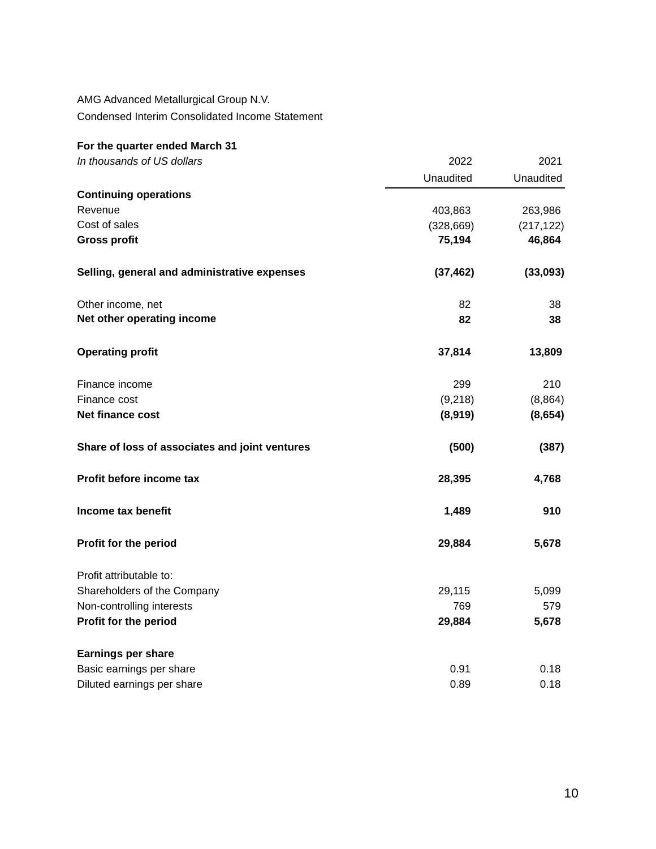# AMG Advanced Metallurgical Group N.V.

Condensed Interim Consolidated Income Statement

# **For the quarter ended March 31**

| In thousands of US dollars                     | 2022       | 2021       |
|------------------------------------------------|------------|------------|
|                                                | Unaudited  | Unaudited  |
| <b>Continuing operations</b>                   |            |            |
| Revenue                                        | 403,863    | 263,986    |
| Cost of sales                                  | (328, 669) | (217, 122) |
| <b>Gross profit</b>                            | 75,194     | 46,864     |
| Selling, general and administrative expenses   | (37, 462)  | (33,093)   |
| Other income, net                              | 82         | 38         |
| Net other operating income                     | 82         | 38         |
| <b>Operating profit</b>                        | 37,814     | 13,809     |
| Finance income                                 | 299        | 210        |
| Finance cost                                   | (9,218)    | (8, 864)   |
| Net finance cost                               | (8,919)    | (8,654)    |
| Share of loss of associates and joint ventures | (500)      | (387)      |
| Profit before income tax                       | 28,395     | 4,768      |
| Income tax benefit                             | 1,489      | 910        |
| Profit for the period                          | 29,884     | 5,678      |
| Profit attributable to:                        |            |            |
| Shareholders of the Company                    | 29,115     | 5,099      |
| Non-controlling interests                      | 769        | 579        |
| Profit for the period                          | 29,884     | 5,678      |
| <b>Earnings per share</b>                      |            |            |
| Basic earnings per share                       | 0.91       | 0.18       |
| Diluted earnings per share                     | 0.89       | 0.18       |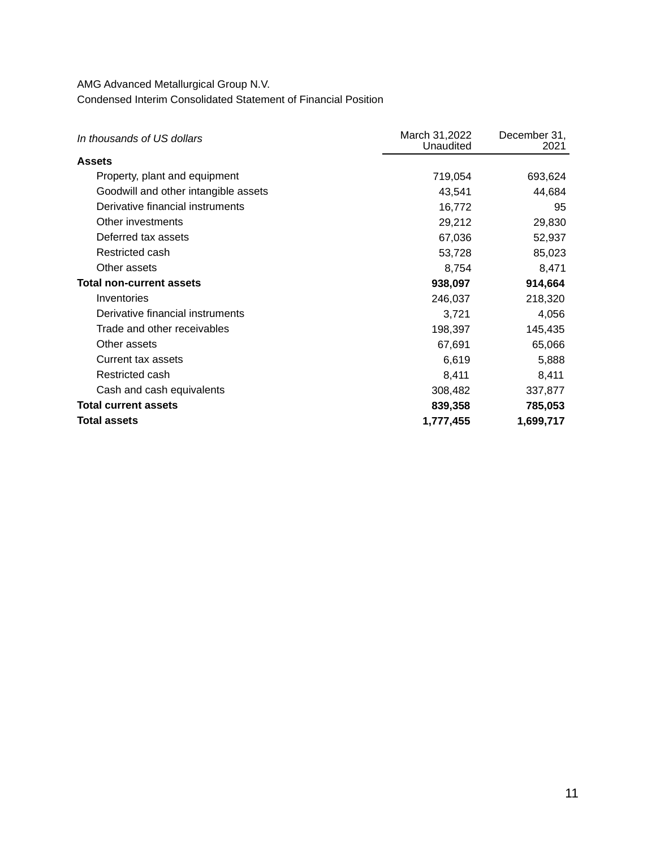AMG Advanced Metallurgical Group N.V. Condensed Interim Consolidated Statement of Financial Position

| In thousands of US dollars           | March 31,2022<br>Unaudited | December 31,<br>2021 |
|--------------------------------------|----------------------------|----------------------|
| Assets                               |                            |                      |
| Property, plant and equipment        | 719,054                    | 693,624              |
| Goodwill and other intangible assets | 43,541                     | 44,684               |
| Derivative financial instruments     | 16,772                     | 95                   |
| Other investments                    | 29,212                     | 29,830               |
| Deferred tax assets                  | 67,036                     | 52,937               |
| Restricted cash                      | 53,728                     | 85,023               |
| Other assets                         | 8,754                      | 8,471                |
| <b>Total non-current assets</b>      | 938,097                    | 914,664              |
| Inventories                          | 246,037                    | 218,320              |
| Derivative financial instruments     | 3,721                      | 4,056                |
| Trade and other receivables          | 198,397                    | 145,435              |
| Other assets                         | 67,691                     | 65,066               |
| Current tax assets                   | 6,619                      | 5,888                |
| Restricted cash                      | 8,411                      | 8,411                |
| Cash and cash equivalents            | 308,482                    | 337,877              |
| <b>Total current assets</b>          | 839,358                    | 785,053              |
| <b>Total assets</b>                  | 1,777,455                  | 1,699,717            |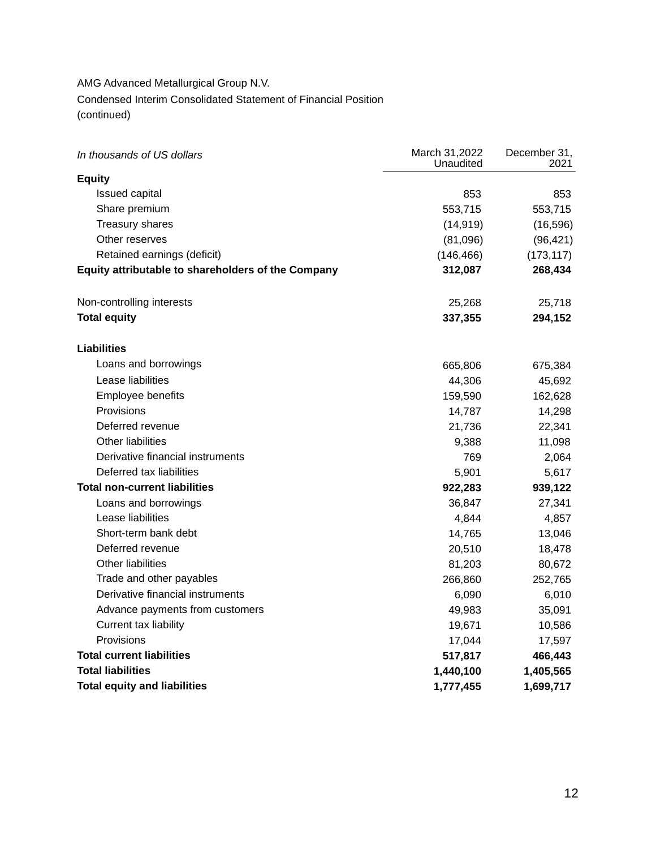## AMG Advanced Metallurgical Group N.V. Condensed Interim Consolidated Statement of Financial Position (continued)

| In thousands of US dollars                         | March 31,2022<br>Unaudited | December 31,<br>2021 |
|----------------------------------------------------|----------------------------|----------------------|
| <b>Equity</b>                                      |                            |                      |
| <b>Issued capital</b>                              | 853                        | 853                  |
| Share premium                                      | 553,715                    | 553,715              |
| <b>Treasury shares</b>                             | (14, 919)                  | (16, 596)            |
| Other reserves                                     | (81,096)                   | (96, 421)            |
| Retained earnings (deficit)                        | (146, 466)                 | (173, 117)           |
| Equity attributable to shareholders of the Company | 312,087                    | 268,434              |
| Non-controlling interests                          | 25,268                     | 25,718               |
| <b>Total equity</b>                                | 337,355                    | 294,152              |
| <b>Liabilities</b>                                 |                            |                      |
| Loans and borrowings                               | 665,806                    | 675,384              |
| Lease liabilities                                  | 44,306                     | 45,692               |
| Employee benefits                                  | 159,590                    | 162,628              |
| Provisions                                         | 14,787                     | 14,298               |
| Deferred revenue                                   | 21,736                     | 22,341               |
| <b>Other liabilities</b>                           | 9,388                      | 11,098               |
| Derivative financial instruments                   | 769                        | 2,064                |
| Deferred tax liabilities                           | 5,901                      | 5,617                |
| <b>Total non-current liabilities</b>               | 922,283                    | 939,122              |
| Loans and borrowings                               | 36,847                     | 27,341               |
| Lease liabilities                                  | 4,844                      | 4,857                |
| Short-term bank debt                               | 14,765                     | 13,046               |
| Deferred revenue                                   | 20,510                     | 18,478               |
| <b>Other liabilities</b>                           | 81,203                     | 80,672               |
| Trade and other payables                           | 266,860                    | 252,765              |
| Derivative financial instruments                   | 6,090                      | 6,010                |
| Advance payments from customers                    | 49,983                     | 35,091               |
| Current tax liability                              | 19,671                     | 10,586               |
| Provisions                                         | 17,044                     | 17,597               |
| <b>Total current liabilities</b>                   | 517,817                    | 466,443              |
| <b>Total liabilities</b>                           | 1,440,100                  | 1,405,565            |
| <b>Total equity and liabilities</b>                | 1,777,455                  | 1,699,717            |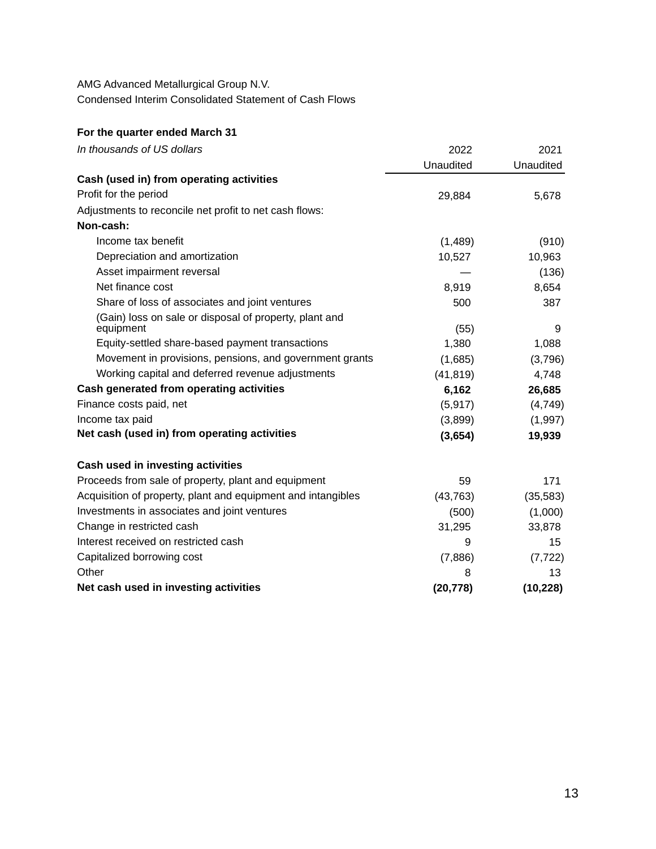AMG Advanced Metallurgical Group N.V. Condensed Interim Consolidated Statement of Cash Flows

#### **For the quarter ended March 31**

| In thousands of US dollars                                   | 2022      | 2021      |
|--------------------------------------------------------------|-----------|-----------|
|                                                              | Unaudited | Unaudited |
| Cash (used in) from operating activities                     |           |           |
| Profit for the period                                        | 29,884    | 5,678     |
| Adjustments to reconcile net profit to net cash flows:       |           |           |
| Non-cash:                                                    |           |           |
| Income tax benefit                                           | (1,489)   | (910)     |
| Depreciation and amortization                                | 10,527    | 10,963    |
| Asset impairment reversal                                    |           | (136)     |
| Net finance cost                                             | 8,919     | 8,654     |
| Share of loss of associates and joint ventures               | 500       | 387       |
| (Gain) loss on sale or disposal of property, plant and       |           |           |
| equipment                                                    | (55)      | 9         |
| Equity-settled share-based payment transactions              | 1,380     | 1,088     |
| Movement in provisions, pensions, and government grants      | (1,685)   | (3,796)   |
| Working capital and deferred revenue adjustments             | (41, 819) | 4,748     |
| Cash generated from operating activities                     | 6,162     | 26,685    |
| Finance costs paid, net                                      | (5, 917)  | (4,749)   |
| Income tax paid                                              | (3,899)   | (1, 997)  |
| Net cash (used in) from operating activities                 | (3,654)   | 19,939    |
| Cash used in investing activities                            |           |           |
| Proceeds from sale of property, plant and equipment          | 59        | 171       |
| Acquisition of property, plant and equipment and intangibles | (43, 763) | (35, 583) |
| Investments in associates and joint ventures                 | (500)     | (1,000)   |
| Change in restricted cash                                    | 31,295    | 33,878    |
| Interest received on restricted cash                         | 9         | 15        |
| Capitalized borrowing cost                                   | (7,886)   | (7, 722)  |
| Other                                                        | 8         | 13        |
| Net cash used in investing activities                        | (20, 778) | (10, 228) |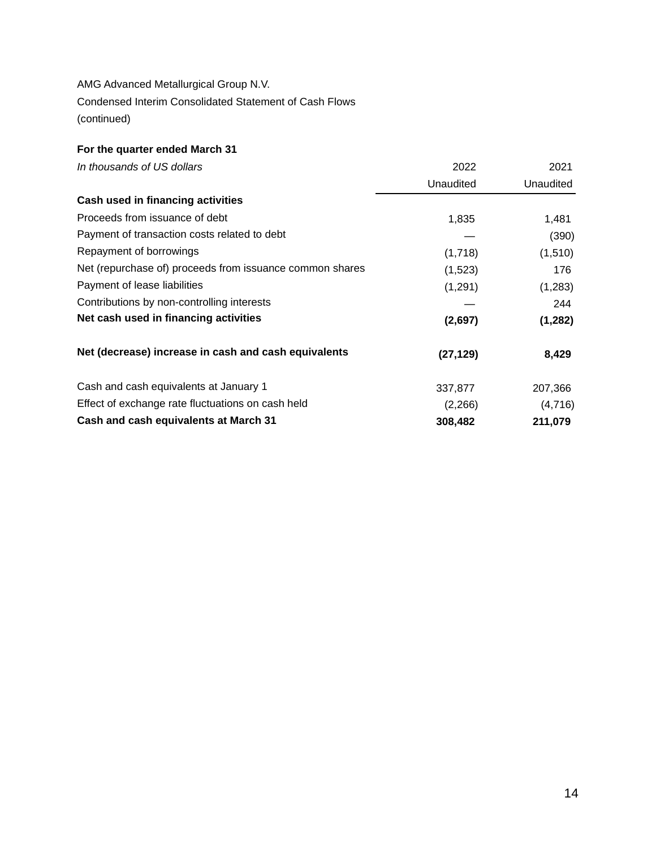AMG Advanced Metallurgical Group N.V. Condensed Interim Consolidated Statement of Cash Flows (continued)

# **For the quarter ended March 31**

| In thousands of US dollars                               | 2022      | 2021      |
|----------------------------------------------------------|-----------|-----------|
|                                                          | Unaudited | Unaudited |
| Cash used in financing activities                        |           |           |
| Proceeds from issuance of debt                           | 1,835     | 1,481     |
| Payment of transaction costs related to debt             |           | (390)     |
| Repayment of borrowings                                  | (1,718)   | (1, 510)  |
| Net (repurchase of) proceeds from issuance common shares | (1,523)   | 176       |
| Payment of lease liabilities                             | (1,291)   | (1,283)   |
| Contributions by non-controlling interests               |           | 244       |
| Net cash used in financing activities                    | (2,697)   | (1, 282)  |
| Net (decrease) increase in cash and cash equivalents     | (27, 129) | 8,429     |
| Cash and cash equivalents at January 1                   | 337,877   | 207,366   |
| Effect of exchange rate fluctuations on cash held        | (2,266)   | (4,716)   |
| Cash and cash equivalents at March 31                    | 308,482   | 211,079   |